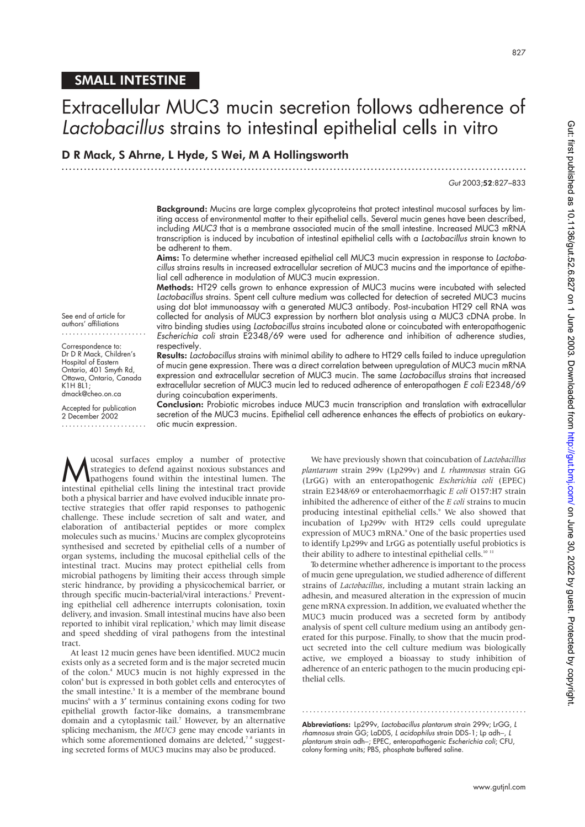# SMALL INTESTINE

See end of article for authors' affiliations ....................... Correspondence to: Dr D R Mack, Children's Hospital of Eastern Ontario, 401 Smyth Rd,

K1H 8L1; dmack@cheo.on.ca Accepted for publication 2 December 2002 .......................

# Extracellular MUC3 mucin secretion follows adherence of *Lactobacillus* strains to intestinal epithelial cells in vitro

# D R Mack, S Ahrne, L Hyde, S Wei, M A Hollingsworth

.............................................................................................................................

## *Gut* 2003;52:827–833

Background: Mucins are large complex glycoproteins that protect intestinal mucosal surfaces by limiting access of environmental matter to their epithelial cells. Several mucin genes have been described, including *MUC3* that is a membrane associated mucin of the small intestine. Increased MUC3 mRNA transcription is induced by incubation of intestinal epithelial cells with a *Lactobacillus* strain known to be adherent to them.

Aims: To determine whether increased epithelial cell MUC3 mucin expression in response to *Lactobacillus* strains results in increased extracellular secretion of MUC3 mucins and the importance of epithelial cell adherence in modulation of MUC3 mucin expression.

Methods: HT29 cells grown to enhance expression of MUC3 mucins were incubated with selected *Lactobacillus* strains. Spent cell culture medium was collected for detection of secreted MUC3 mucins using dot blot immunoassay with a generated MUC3 antibody. Post-incubation HT29 cell RNA was collected for analysis of MUC3 expression by northern blot analysis using a MUC3 cDNA probe. In vitro binding studies using *Lactobacillus* strains incubated alone or coincubated with enteropathogenic *Escherichia coli* strain E2348/69 were used for adherence and inhibition of adherence studies,

respectively. Results: *Lactobacillus* strains with minimal ability to adhere to HT29 cells failed to induce upregulation of mucin gene expression. There was a direct correlation between upregulation of MUC3 mucin mRNA Ottawa, Ontario, Canada

expression and extracellular secretion of MUC3 mucin. The same *Lactobacillus* strains that increased extracellular secretion of MUC3 mucin led to reduced adherence of enteropathogen *E coli* E2348/69 during coincubation experiments. Conclusion: Probiotic microbes induce MUC3 mucin transcription and translation with extracellular

secretion of the MUC3 mucins. Epithelial cell adherence enhances the effects of probiotics on eukaryotic mucin expression.

**M**ucosal surfaces employ a number of protective<br>strategies to defend against noxious substances and<br>intestinal enithelial cells lining the intestinal tract provide strategies to defend against noxious substances and intestinal epithelial cells lining the intestinal tract provide both a physical barrier and have evolved inducible innate protective strategies that offer rapid responses to pathogenic challenge. These include secretion of salt and water, and elaboration of antibacterial peptides or more complex molecules such as mucins.<sup>1</sup> Mucins are complex glycoproteins synthesised and secreted by epithelial cells of a number of organ systems, including the mucosal epithelial cells of the intestinal tract. Mucins may protect epithelial cells from microbial pathogens by limiting their access through simple steric hindrance, by providing a physicochemical barrier, or through specific mucin-bacterial/viral interactions.<sup>2</sup> Preventing epithelial cell adherence interrupts colonisation, toxin delivery, and invasion. Small intestinal mucins have also been reported to inhibit viral replication,<sup>3</sup> which may limit disease and speed shedding of viral pathogens from the intestinal tract.

At least 12 mucin genes have been identified. MUC2 mucin exists only as a secreted form and is the major secreted mucin of the colon.4 MUC3 mucin is not highly expressed in the colon<sup>4</sup> but is expressed in both goblet cells and enterocytes of the small intestine.<sup>5</sup> It is a member of the membrane bound mucins<sup>6</sup> with a 3' terminus containing exons coding for two epithelial growth factor-like domains, a transmembrane domain and a cytoplasmic tail.7 However, by an alternative splicing mechanism, the *MUC3* gene may encode variants in which some aforementioned domains are deleted,<sup>78</sup> suggesting secreted forms of MUC3 mucins may also be produced.

We have previously shown that coincubation of *Lactobacillus plantarum* strain 299v (Lp299v) and *L rhamnosus* strain GG (LrGG) with an enteropathogenic *Escherichia coli* (EPEC) strain E2348/69 or enterohaemorrhagic *E coli* O157:H7 strain inhibited the adherence of either of the *E coli* strains to mucin producing intestinal epithelial cells.<sup>9</sup> We also showed that incubation of Lp299v with HT29 cells could upregulate expression of MUC3 mRNA.<sup>9</sup> One of the basic properties used to identify Lp299v and LrGG as potentially useful probiotics is their ability to adhere to intestinal epithelial cells.<sup>10 11</sup>

To determine whether adherence is important to the process of mucin gene upregulation, we studied adherence of different strains of *Lactobacillus*, including a mutant strain lacking an adhesin, and measured alteration in the expression of mucin gene mRNA expression. In addition, we evaluated whether the MUC3 mucin produced was a secreted form by antibody analysis of spent cell culture medium using an antibody generated for this purpose. Finally, to show that the mucin product secreted into the cell culture medium was biologically active, we employed a bioassay to study inhibition of adherence of an enteric pathogen to the mucin producing epithelial cells.

Abbreviations: Lp299v, *Lactobacillus plantarum* strain 299v; LrGG, *L rhamnosus* strain GG; LaDDS, *L acidophilus* strain DDS-1; Lp adh−, *L plantarum* strain adh−; EPEC, enteropathogenic *Escherichia coli*; CFU, colony forming units; PBS, phosphate buffered saline.

.............................................................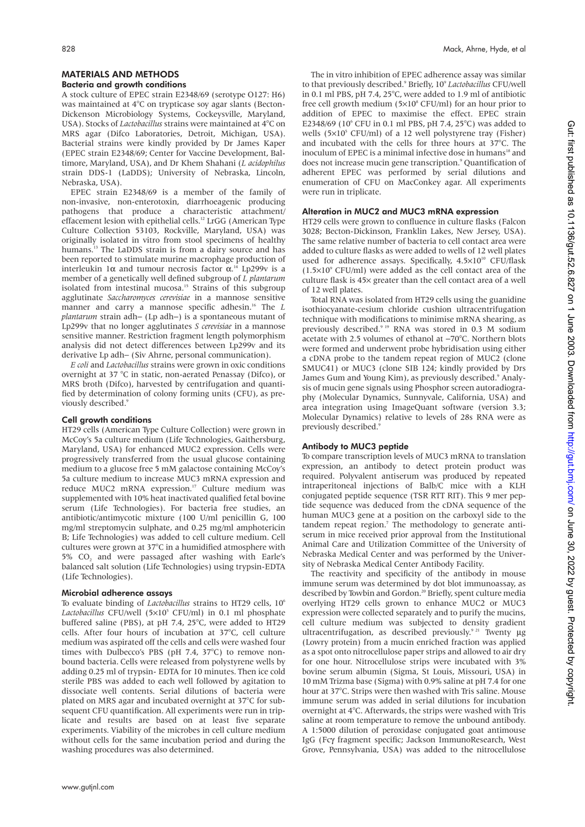# MATERIALS AND METHODS

## Bacteria and growth conditions

A stock culture of EPEC strain E2348/69 (serotype O127: H6) was maintained at 4°C on trypticase soy agar slants (Becton-Dickenson Microbiology Systems, Cockeysville, Maryland, USA). Stocks of *Lactobacillus* strains were maintained at 4°C on MRS agar (Difco Laboratories, Detroit, Michigan, USA). Bacterial strains were kindly provided by Dr James Kaper (EPEC strain E2348/69; Center for Vaccine Development, Baltimore, Maryland, USA), and Dr Khem Shahani (*L acidophilus* strain DDS-1 (LaDDS); University of Nebraska, Lincoln, Nebraska, USA).

EPEC strain E2348/69 is a member of the family of non-invasive, non-enterotoxin, diarrhoeagenic producing pathogens that produce a characteristic attachment/ effacement lesion with epithelial cells.<sup>12</sup> LrGG (American Type) Culture Collection 53103, Rockville, Maryland, USA) was originally isolated in vitro from stool specimens of healthy humans.<sup>13</sup> The LaDDS strain is from a dairy source and has been reported to stimulate murine macrophage production of interleukin 1α and tumour necrosis factor α. <sup>14</sup> Lp299v is a member of a genetically well defined subgroup of *L plantarum* isolated from intestinal mucosa.<sup>15</sup> Strains of this subgroup agglutinate *Saccharomyces cerevisiae* in a mannose sensitive manner and carry a mannose specific adhesin.16 The *L plantarum* strain adh– (Lp adh–) is a spontaneous mutant of Lp299v that no longer agglutinates *S cerevisiae* in a mannose sensitive manner. Restriction fragment length polymorphism analysis did not detect differences between Lp299v and its derivative Lp adh− (Siv Ahrne, personal communication).

*E coli* and *Lactobacillus* strains were grown in oxic conditions overnight at 37 °C in static, non-aerated Penassay (Difco), or MRS broth (Difco), harvested by centrifugation and quantified by determination of colony forming units (CFU), as previously described.9

# Cell growth conditions

HT29 cells (American Type Culture Collection) were grown in McCoy's 5a culture medium (Life Technologies, Gaithersburg, Maryland, USA) for enhanced MUC2 expression. Cells were progressively transferred from the usual glucose containing medium to a glucose free 5 mM galactose containing McCoy's 5a culture medium to increase MUC3 mRNA expression and reduce MUC2 mRNA expression.<sup>17</sup> Culture medium was supplemented with 10% heat inactivated qualified fetal bovine serum (Life Technologies). For bacteria free studies, an antibiotic/antimycotic mixture (100 U/ml penicillin G, 100 mg/ml streptomycin sulphate, and 0.25 mg/ml amphotericin B; Life Technologies) was added to cell culture medium. Cell cultures were grown at 37°C in a humidified atmosphere with 5% CO, and were passaged after washing with Earle's balanced salt solution (Life Technologies) using trypsin-EDTA (Life Technologies).

# Microbial adherence assays

To evaluate binding of *Lactobacillus* strains to HT29 cells, 106 Lactobacillus CFU/well (5×10<sup>5</sup> CFU/ml) in 0.1 ml phosphate buffered saline (PBS), at pH 7.4, 25°C, were added to HT29 cells. After four hours of incubation at 37°C, cell culture medium was aspirated off the cells and cells were washed four times with Dulbecco's PBS (pH 7.4, 37°C) to remove nonbound bacteria. Cells were released from polystyrene wells by adding 0.25 ml of trypsin- EDTA for 10 minutes. Then ice cold sterile PBS was added to each well followed by agitation to dissociate well contents. Serial dilutions of bacteria were plated on MRS agar and incubated overnight at 37°C for subsequent CFU quantification. All experiments were run in triplicate and results are based on at least five separate experiments. Viability of the microbes in cell culture medium without cells for the same incubation period and during the washing procedures was also determined.

The in vitro inhibition of EPEC adherence assay was similar to that previously described.9 Briefly, 109 *Lactobacillus* CFU/well in 0.1 ml PBS, pH 7.4, 25°C, were added to 1.9 ml of antibiotic free cell growth medium  $(5\times10^{8} CFU/ml)$  for an hour prior to addition of EPEC to maximise the effect. EPEC strain E2348/69 (10<sup>6</sup> CFU in 0.1 ml PBS, pH 7.4, 25°C) was added to wells  $(5\times10^{5}$  CFU/ml) of a 12 well polystyrene tray (Fisher) and incubated with the cells for three hours at 37°C. The inoculum of EPEC is a minimal infective dose in humans<sup>18</sup> and does not increase mucin gene transcription.<sup>9</sup> Quantification of adherent EPEC was performed by serial dilutions and enumeration of CFU on MacConkey agar. All experiments were run in triplicate.

# Alteration in MUC2 and MUC3 mRNA expression

HT29 cells were grown to confluence in culture flasks (Falcon 3028; Becton-Dickinson, Franklin Lakes, New Jersey, USA). The same relative number of bacteria to cell contact area were added to culture flasks as were added to wells of 12 well plates used for adherence assays. Specifically,  $4.5 \times 10^{10}$  CFU/flask  $(1.5\times10^9 \text{ CFU/ml})$  were added as the cell contact area of the culture flask is 45× greater than the cell contact area of a well of 12 well plates.

Total RNA was isolated from HT29 cells using the guanidine isothiocyanate-cesium chloride cushion ultracentrifugation technique with modifications to minimise mRNA shearing, as previously described.<sup>9 19</sup> RNA was stored in 0.3 M sodium acetate with 2.5 volumes of ethanol at −70°C. Northern blots were formed and underwent probe hybridisation using either a cDNA probe to the tandem repeat region of MUC2 (clone SMUC41) or MUC3 (clone SIB 124; kindly provided by Drs James Gum and Young Kim), as previously described.<sup>9</sup> Analysis of mucin gene signals using Phosphor screen autoradiography (Molecular Dynamics, Sunnyvale, California, USA) and area integration using ImageQuant software (version 3.3; Molecular Dynamics) relative to levels of 28s RNA were as previously described.9

# Antibody to MUC3 peptide

To compare transcription levels of MUC3 mRNA to translation expression, an antibody to detect protein product was required. Polyvalent antiserum was produced by repeated intraperitoneal injections of Balb/C mice with a KLH conjugated peptide sequence (TSR RTT RIT). This 9 mer peptide sequence was deduced from the cDNA sequence of the human MUC3 gene at a position on the carboxyl side to the tandem repeat region.<sup>7</sup> The methodology to generate antiserum in mice received prior approval from the Institutional Animal Care and Utilization Committee of the University of Nebraska Medical Center and was performed by the University of Nebraska Medical Center Antibody Facility.

The reactivity and specificity of the antibody in mouse immune serum was determined by dot blot immunoassay, as described by Towbin and Gordon.<sup>20</sup> Briefly, spent culture media overlying HT29 cells grown to enhance MUC2 or MUC3 expression were collected separately and to purify the mucins, cell culture medium was subjected to density gradient ultracentrifugation, as described previously.<sup>9 21</sup> Twenty µg (Lowry protein) from a mucin enriched fraction was applied as a spot onto nitrocellulose paper strips and allowed to air dry for one hour. Nitrocellulose strips were incubated with 3% bovine serum albumin (Sigma, St Louis, Missouri, USA) in 10 mM Trizma base (Sigma) with 0.9% saline at pH 7.4 for one hour at 37°C. Strips were then washed with Tris saline. Mouse immune serum was added in serial dilutions for incubation overnight at 4°C. Afterwards, the strips were washed with Tris saline at room temperature to remove the unbound antibody. A 1:5000 dilution of peroxidase conjugated goat antimouse IgG (Fcγ fragment specific; Jackson ImmunoResearch, West Grove, Pennsylvania, USA) was added to the nitrocellulose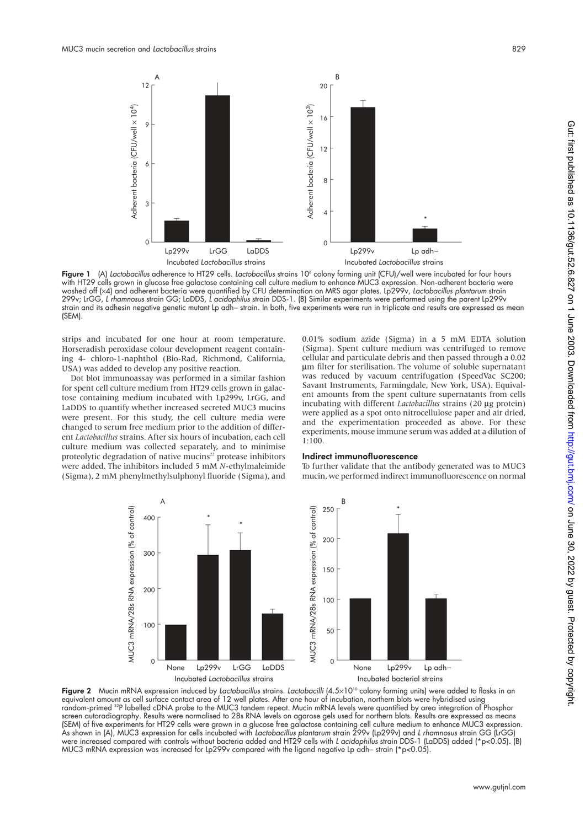

Figure 1 (A) Lactobacillus adherence to HT29 cells. Lactobacillus strains 10° colony forming unit (CFU)/well were incubated for four hours with HT29 cells grown in glucose free galactose containing cell culture medium to enhance MUC3 expression. Non-adherent bacteria were washed off (×4) and adherent bacteria were quantified by CFU determination on MRS agar plates. Lp299v, *Lactobacillus plantarum* strain 299v; LrGG, *L rhamnosus* strain GG; LaDDS, *L acidophilus* strain DDS-1. (B) Similar experiments were performed using the parent Lp299v strain and its adhesin negative genetic mutant Lp adh− strain. In both, five experiments were run in triplicate and results are expressed as mean (SEM).

strips and incubated for one hour at room temperature. Horseradish peroxidase colour development reagent containing 4- chloro-1-naphthol (Bio-Rad, Richmond, California, USA) was added to develop any positive reaction.

Dot blot immunoassay was performed in a similar fashion for spent cell culture medium from HT29 cells grown in galactose containing medium incubated with Lp299v, LrGG, and LaDDS to quantify whether increased secreted MUC3 mucins were present. For this study, the cell culture media were changed to serum free medium prior to the addition of different *Lactobacillus* strains. After six hours of incubation, each cell culture medium was collected separately, and to minimise proteolytic degradation of native mucins<sup>22</sup> protease inhibitors were added. The inhibitors included 5 mM *N*-ethylmaleimide (Sigma), 2 mM phenylmethylsulphonyl fluoride (Sigma), and

0.01% sodium azide (Sigma) in a 5 mM EDTA solution (Sigma). Spent culture medium was centrifuged to remove cellular and particulate debris and then passed through a 0.02 µm filter for sterilisation. The volume of soluble supernatant was reduced by vacuum centrifugation (SpeedVac SC200; Savant Instruments, Farmingdale, New York, USA). Equivalent amounts from the spent culture supernatants from cells incubating with different *Lactobacillus* strains (20 µg protein) were applied as a spot onto nitrocellulose paper and air dried, and the experimentation proceeded as above. For these experiments, mouse immune serum was added at a dilution of 1:100.

#### Indirect immunofluorescence

To further validate that the antibody generated was to MUC3 mucin, we performed indirect immunofluorescence on normal



Figure 2 Mucin mRNA expression induced by *Lactobacillus* strains. *Lactobacilli* (4.5×10<sup>10</sup> colony forming units) were added to flasks in an equivalent amount as cell surface contact area of 12 well plates. After one hour of incubation, northern blots were hybridised using random-primed 32P labelled cDNA probe to the MUC3 tandem repeat. Mucin mRNA levels were quantified by area integration of Phosphor screen autoradiography. Results were normalised to 28s RNA levels on agarose gels used for northern blots. Results are expressed as means (SEM) of five experiments for HT29 cells were grown in a glucose free galactose containing cell culture medium to enhance MUC3 expression. As shown in (A), MUC3 expression for cells incubated with *Lactobacillus plantarum* strain 299v (Lp299v) and *L rhamnosus* strain GG (LrGG) were increased compared with controls without bacteria added and HT29 cells with *L acidophilus* strain DDS-1 (LaDDS) added (\*p<0.05). (B) MUC3 mRNA expression was increased for Lp299v compared with the ligand negative Lp adh– strain (\*p<0.05).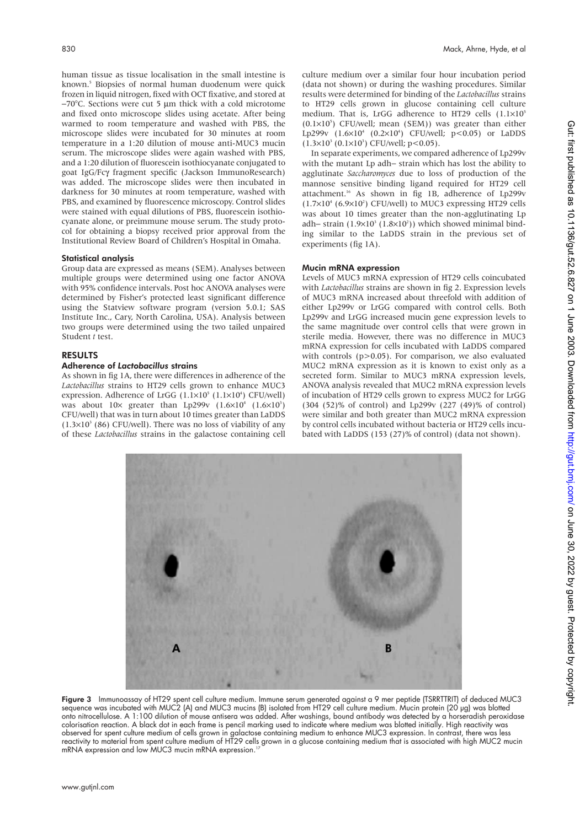human tissue as tissue localisation in the small intestine is known.<sup>5</sup> Biopsies of normal human duodenum were quick frozen in liquid nitrogen, fixed with OCT fixative, and stored at −70°C. Sections were cut 5 µm thick with a cold microtome and fixed onto microscope slides using acetate. After being warmed to room temperature and washed with PBS, the microscope slides were incubated for 30 minutes at room temperature in a 1:20 dilution of mouse anti-MUC3 mucin serum. The microscope slides were again washed with PBS, and a 1:20 dilution of fluorescein isothiocyanate conjugated to goat IgG/Fcγ fragment specific (Jackson ImmunoResearch) was added. The microscope slides were then incubated in darkness for 30 minutes at room temperature, washed with PBS, and examined by fluorescence microscopy. Control slides were stained with equal dilutions of PBS, fluorescein isothiocyanate alone, or preimmune mouse serum. The study protocol for obtaining a biopsy received prior approval from the Institutional Review Board of Children's Hospital in Omaha.

#### Statistical analysis

Group data are expressed as means (SEM). Analyses between multiple groups were determined using one factor ANOVA with 95% confidence intervals. Post hoc ANOVA analyses were determined by Fisher's protected least significant difference using the Statview software program (version 5.0.1; SAS Institute Inc., Cary, North Carolina, USA). Analysis between two groups were determined using the two tailed unpaired Student *t* test.

# RESULTS

# Adherence of *Lactobacillus* strains

As shown in fig 1A, there were differences in adherence of the *Lactobacillus* strains to HT29 cells grown to enhance MUC3 expression. Adherence of LrGG (1.1×10<sup>5</sup> (1.1×10<sup>4</sup>) CFU/well) was about  $10 \times$  greater than Lp299v  $(1.6 \times 10^4 \text{ } (1.6 \times 10^3))$ CFU/well) that was in turn about 10 times greater than LaDDS  $(1.3\times10^{3} (86)$  CFU/well). There was no loss of viability of any of these *Lactobacillus* strains in the galactose containing cell culture medium over a similar four hour incubation period (data not shown) or during the washing procedures. Similar results were determined for binding of the *Lactobacillus* strains to HT29 cells grown in glucose containing cell culture medium. That is, LrGG adherence to HT29 cells (1.1×10<sup>5</sup>)  $(0.1\times10^5)$  CFU/well; mean (SEM)) was greater than either Lp299v (1.6×10<sup>4</sup> (0.2×10<sup>4</sup>) CFU/well; p<0.05) or LaDDS  $(1.3\times10^{3} (0.1\times10^{3})$  CFU/well; p<0.05).

In separate experiments, we compared adherence of Lp299v with the mutant Lp adh− strain which has lost the ability to agglutinate *Saccharomyces* due to loss of production of the mannose sensitive binding ligand required for HT29 cell attachment.16 As shown in fig 1B, adherence of Lp299v  $(1.7\times10^{4} (6.9\times10^{2})$  CFU/well) to MUC3 expressing HT29 cells was about 10 times greater than the non-agglutinating Lp adh– strain (1.9×10<sup>3</sup> (1.8×10<sup>2</sup>)) which showed minimal binding similar to the LaDDS strain in the previous set of experiments (fig 1A).

#### Mucin mRNA expression

Levels of MUC3 mRNA expression of HT29 cells coincubated with *Lactobacillus* strains are shown in fig 2. Expression levels of MUC3 mRNA increased about threefold with addition of either Lp299v or LrGG compared with control cells. Both Lp299v and LrGG increased mucin gene expression levels to the same magnitude over control cells that were grown in sterile media. However, there was no difference in MUC3 mRNA expression for cells incubated with LaDDS compared with controls (p>0.05). For comparison, we also evaluated MUC2 mRNA expression as it is known to exist only as a secreted form. Similar to MUC3 mRNA expression levels. ANOVA analysis revealed that MUC2 mRNA expression levels of incubation of HT29 cells grown to express MUC2 for LrGG (304 (52)% of control) and Lp299v (227 (49)% of control) were similar and both greater than MUC2 mRNA expression by control cells incubated without bacteria or HT29 cells incubated with LaDDS (153 (27)% of control) (data not shown).



Figure 3 Immunoassay of HT29 spent cell culture medium. Immune serum generated against a 9 mer peptide (TSRRTTRIT) of deduced MUC3 sequence was incubated with MUC2 (A) and MUC3 mucins (B) isolated from HT29 cell culture medium. Mucin protein (20 µg) was blotted onto nitrocellulose. A 1:100 dilution of mouse antisera was added. After washings, bound antibody was detected by a horseradish peroxidase colorisation reaction. A black dot in each frame is pencil marking used to indicate where medium was blotted initially. High reactivity was observed for spent culture medium of cells grown in galactose containing medium to enhance MUC3 expression. In contrast, there was less reactivity to material from spent culture medium of HT29 cells grown in a glucose containing medium that is associated with high MUC2 mucin mRNA expression and low MUC3 mucin mRNA expression.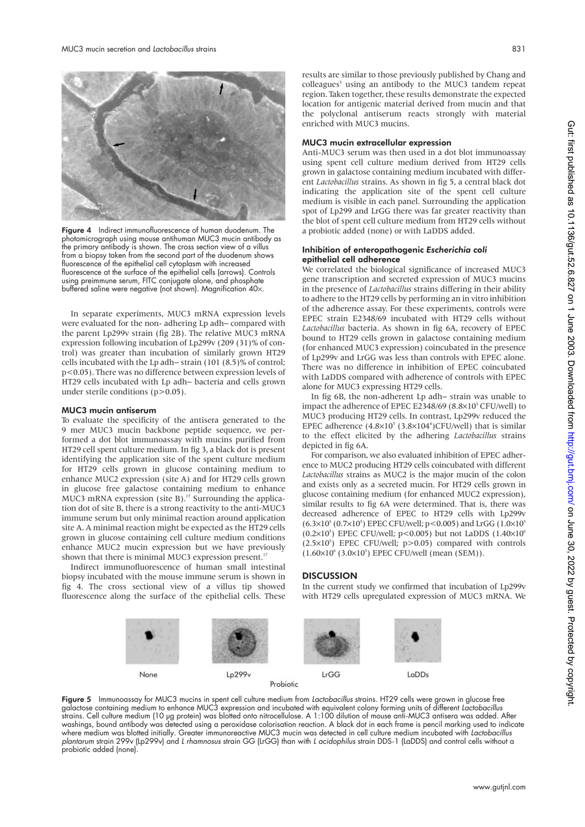

Figure 4 Indirect immunofluorescence of human duodenum. The photomicrograph using mouse antihuman MUC3 mucin antibody as the primary antibody is shown. The cross section view of a villus from a biopsy taken from the second part of the duodenum shows fluorescence of the epithelial cell cytoplasm with increased fluorescence at the surface of the epithelial cells (arrows). Controls using preimmune serum, FITC conjugate alone, and phosphate buffered saline were negative (not shown). Magnification 40×.

In separate experiments, MUC3 mRNA expression levels were evaluated for the non- adhering Lp adh− compared with the parent Lp299v strain (fig 2B). The relative MUC3 mRNA expression following incubation of Lp299v (209 (31)% of control) was greater than incubation of similarly grown HT29 cells incubated with the Lp adh− strain (101 (8.5)% of control; p<0.05). There was no difference between expression levels of HT29 cells incubated with Lp adh− bacteria and cells grown under sterile conditions (p>0.05).

#### MUC3 mucin antiserum

To evaluate the specificity of the antisera generated to the 9 mer MUC3 mucin backbone peptide sequence, we performed a dot blot immunoassay with mucins purified from HT29 cell spent culture medium. In fig 3, a black dot is present identifying the application site of the spent culture medium for HT29 cells grown in glucose containing medium to enhance MUC2 expression (site A) and for HT29 cells grown in glucose free galactose containing medium to enhance MUC3 mRNA expression (site B). $^{17}$  Surrounding the application dot of site B, there is a strong reactivity to the anti-MUC3 immune serum but only minimal reaction around application site A. A minimal reaction might be expected as the HT29 cells grown in glucose containing cell culture medium conditions enhance MUC2 mucin expression but we have previously shown that there is minimal MUC3 expression present.<sup>1</sup>

Indirect immunofluorescence of human small intestinal biopsy incubated with the mouse immune serum is shown in fig 4. The cross sectional view of a villus tip showed fluorescence along the surface of the epithelial cells. These results are similar to those previously published by Chang and colleagues<sup>5</sup> using an antibody to the MUC3 tandem repeat region. Taken together, these results demonstrate the expected location for antigenic material derived from mucin and that the polyclonal antiserum reacts strongly with material enriched with MUC3 mucins.

## MUC3 mucin extracellular expression

Anti-MUC3 serum was then used in a dot blot immunoassay using spent cell culture medium derived from HT29 cells grown in galactose containing medium incubated with different *Lactobacillus* strains. As shown in fig 5, a central black dot indicating the application site of the spent cell culture medium is visible in each panel. Surrounding the application spot of Lp299 and LrGG there was far greater reactivity than the blot of spent cell culture medium from HT29 cells without a probiotic added (none) or with LaDDS added.

#### Inhibition of enteropathogenic *Escherichia coli* epithelial cell adherence

We correlated the biological significance of increased MUC3 gene transcription and secreted expression of MUC3 mucins in the presence of *Lactobacillus* strains differing in their ability to adhere to the HT29 cells by performing an in vitro inhibition of the adherence assay. For these experiments, controls were EPEC strain E2348/69 incubated with HT29 cells without *Lactobacillus* bacteria. As shown in fig 6A, recovery of EPEC bound to HT29 cells grown in galactose containing medium (for enhanced MUC3 expression) coincubated in the presence of Lp299v and LrGG was less than controls with EPEC alone. There was no difference in inhibition of EPEC coincubated with LaDDS compared with adherence of controls with EPEC alone for MUC3 expressing HT29 cells.

In fig 6B, the non-adherent Lp adh− strain was unable to impact the adherence of EPEC E2348/69 (8.8×10<sup>5</sup> CFU/well) to MUC3 producing HT29 cells. In contrast, Lp299v reduced the EPEC adherence  $(4.8\times10^{5} (3.8\times104^{4})$ CFU/well) that is similar to the effect elicited by the adhering *Lactobacillus* strains depicted in fig 6A.

For comparison, we also evaluated inhibition of EPEC adherence to MUC2 producing HT29 cells coincubated with different *Lactobacillus* strains as MUC2 is the major mucin of the colon and exists only as a secreted mucin. For HT29 cells grown in glucose containing medium (for enhanced MUC2 expression), similar results to fig 6A were determined. That is, there was decreased adherence of EPEC to HT29 cells with Lp299v  $(6.3\times10^{5} (0.7\times10^{5})$  EPEC CFU/well; p<0.005) and LrGG (1.0×10<sup>5</sup>  $(0.2\times10^{5})$  EPEC CFU/well; p<0.005) but not LaDDS  $(1.40\times10^{6})$  $(2.5\times10^5)$  EPEC CFU/well; p>0.05) compared with controls  $(1.60\times10^{6} (3.0\times10^{5})$  EPEC CFU/well (mean (SEM)).

# **DISCUSSION**

In the current study we confirmed that incubation of Lp299v with HT29 cells upregulated expression of MUC3 mRNA. We



Figure 5 Immunoassay for MUC3 mucins in spent cell culture medium from *Lactobacillus* strains. HT29 cells were grown in glucose free galactose containing medium to enhance MUC3 expression and incubated with equivalent colony forming units of different *Lactobacillus* strains. Cell culture medium (10 µg protein) was blotted onto nitrocellulose. A 1:100 dilution of mouse anti-MUC3 antisera was added. After washings, bound antibody was detected using a peroxidase colorisation reaction. A black dot in each frame is pencil marking used to indicate where medium was blotted initially. Greater immunoreactive MUC3 mucin was detected in cell culture medium incubated with *Lactobacillus plantarum* strain 299v (Lp299v) and *L rhamnosus* strain GG (LrGG) than with *L acidophilus* strain DDS-1 (LaDDS) and control cells without a probiotic added (none).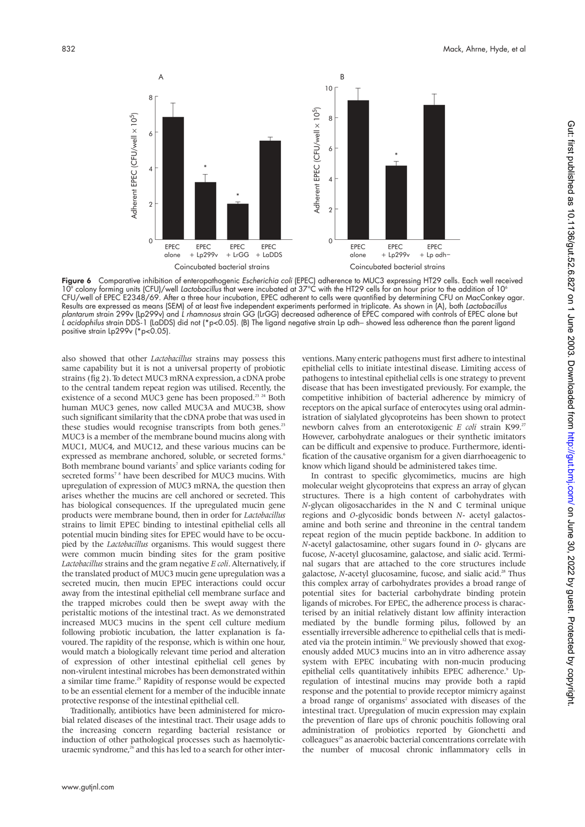

Figure 6 Comparative inhibition of enteropathogenic *Escherichia coli* (EPEC) adherence to MUC3 expressing HT29 cells. Each well received 109 colony forming units (CFU)/well *Lactobacillus* that were incubated at 37°C with the HT29 cells for an hour prior to the addition of 106 CFU/well of EPEC E2348/69. After a three hour incubation, EPEC adherent to cells were quantified by determining CFU on MacConkey agar. Results are expressed as means (SEM) of at least five independent experiments performed in triplicate. As shown in (A), both *Lactobacillus plantarum* strain 299v (Lp299v) and *L rhamnosus* strain GG (LrGG) decreased adherence of EPEC compared with controls of EPEC alone but *L acidophilus* strain DDS-1 (LaDDS) did not (\*p<0.05). (B) The ligand negative strain Lp adh− showed less adherence than the parent ligand positive strain Lp299v (\*p<0.05).

also showed that other *Lactobacillus* strains may possess this same capability but it is not a universal property of probiotic strains (fig 2). To detect MUC3 mRNA expression, a cDNA probe to the central tandem repeat region was utilised. Recently, the existence of a second MUC3 gene has been proposed.<sup>23</sup> <sup>24</sup> Both human MUC3 genes, now called MUC3A and MUC3B, show such significant similarity that the cDNA probe that was used in these studies would recognise transcripts from both genes.<sup>23</sup> MUC3 is a member of the membrane bound mucins along with MUC1, MUC4, and MUC12, and these various mucins can be expressed as membrane anchored, soluble, or secreted forms.<sup>6</sup> Both membrane bound variants<sup>7</sup> and splice variants coding for secreted forms<sup>78</sup> have been described for MUC3 mucins. With upregulation of expression of MUC3 mRNA, the question then arises whether the mucins are cell anchored or secreted. This has biological consequences. If the upregulated mucin gene products were membrane bound, then in order for *Lactobacillus* strains to limit EPEC binding to intestinal epithelial cells all potential mucin binding sites for EPEC would have to be occupied by the *Lactobacillus* organisms. This would suggest there were common mucin binding sites for the gram positive *Lactobacillus* strains and the gram negative *E coli*. Alternatively, if the translated product of MUC3 mucin gene upregulation was a secreted mucin, then mucin EPEC interactions could occur away from the intestinal epithelial cell membrane surface and the trapped microbes could then be swept away with the peristaltic motions of the intestinal tract. As we demonstrated increased MUC3 mucins in the spent cell culture medium following probiotic incubation, the latter explanation is favoured. The rapidity of the response, which is within one hour, would match a biologically relevant time period and alteration of expression of other intestinal epithelial cell genes by non-virulent intestinal microbes has been demonstrated within a similar time frame.<sup>25</sup> Rapidity of response would be expected to be an essential element for a member of the inducible innate protective response of the intestinal epithelial cell.

Traditionally, antibiotics have been administered for microbial related diseases of the intestinal tract. Their usage adds to the increasing concern regarding bacterial resistance or induction of other pathological processes such as haemolyticuraemic syndrome,<sup>26</sup> and this has led to a search for other interventions.Many enteric pathogens must first adhere to intestinal epithelial cells to initiate intestinal disease. Limiting access of pathogens to intestinal epithelial cells is one strategy to prevent disease that has been investigated previously. For example, the competitive inhibition of bacterial adherence by mimicry of receptors on the apical surface of enterocytes using oral administration of sialylated glycoproteins has been shown to protect newborn calves from an enterotoxigenic *E coli* strain K99.<sup>27</sup> However, carbohydrate analogues or their synthetic imitators can be difficult and expensive to produce. Furthermore, identification of the causative organism for a given diarrhoeagenic to know which ligand should be administered takes time.

In contrast to specific glycomimetics, mucins are high molecular weight glycoproteins that express an array of glycan structures. There is a high content of carbohydrates with *N*-glycan oligosaccharides in the N and C terminal unique regions and *O*-glycosidic bonds between *N*- acetyl galactosamine and both serine and threonine in the central tandem repeat region of the mucin peptide backbone. In addition to *N*-acetyl galactosamine, other sugars found in *O*- glycans are fucose, *N*-acetyl glucosamine, galactose, and sialic acid. Terminal sugars that are attached to the core structures include galactose, *N*-acetyl glucosamine, fucose, and sialic acid.<sup>28</sup> Thus this complex array of carbohydrates provides a broad range of potential sites for bacterial carbohydrate binding protein ligands of microbes. For EPEC, the adherence process is characterised by an initial relatively distant low affinity interaction mediated by the bundle forming pilus, followed by an essentially irreversible adherence to epithelial cells that is mediated via the protein intimin.<sup>12</sup> We previously showed that exogenously added MUC3 mucins into an in vitro adherence assay system with EPEC incubating with non-mucin producing epithelial cells quantitatively inhibits EPEC adherence.<sup>9</sup> Upregulation of intestinal mucins may provide both a rapid response and the potential to provide receptor mimicry against a broad range of organisms<sup>2</sup> associated with diseases of the intestinal tract. Upregulation of mucin expression may explain the prevention of flare ups of chronic pouchitis following oral administration of probiotics reported by Gionchetti and colleagues<sup>29</sup> as anaerobic bacterial concentrations correlate with the number of mucosal chronic inflammatory cells in